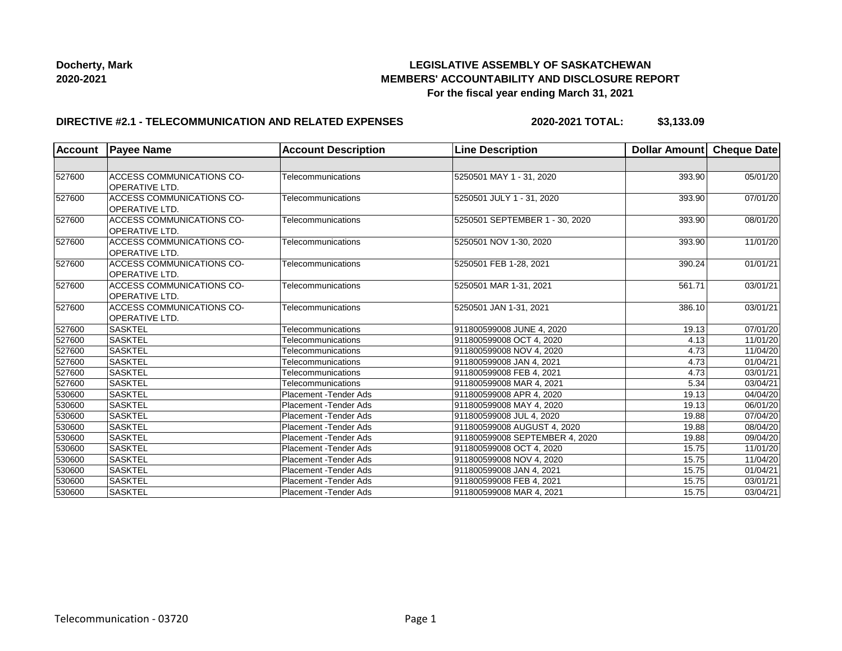## **LEGISLATIVE ASSEMBLY OF SASKATCHEWAN MEMBERS' ACCOUNTABILITY AND DISCLOSURE REPORT For the fiscal year ending March 31, 2021**

## **DIRECTIVE #2.1 - TELECOMMUNICATION AND RELATED EXPENSES**

**2020-2021 TOTAL: \$3,133.09**

| <b>Account</b> | <b>Payee Name</b>                                         | <b>Account Description</b>    | <b>Line Description</b>        | Dollar Amount Cheque Date |          |
|----------------|-----------------------------------------------------------|-------------------------------|--------------------------------|---------------------------|----------|
|                |                                                           |                               |                                |                           |          |
| 527600         | ACCESS COMMUNICATIONS CO-<br><b>OPERATIVE LTD.</b>        | Telecommunications            | 5250501 MAY 1 - 31, 2020       | 393.90                    | 05/01/20 |
| 527600         | <b>ACCESS COMMUNICATIONS CO-</b><br><b>OPERATIVE LTD.</b> | Telecommunications            | 5250501 JULY 1 - 31, 2020      | 393.90                    | 07/01/20 |
| 527600         | <b>ACCESS COMMUNICATIONS CO-</b><br>OPERATIVE LTD.        | Telecommunications            | 5250501 SEPTEMBER 1 - 30, 2020 | 393.90                    | 08/01/20 |
| 527600         | <b>ACCESS COMMUNICATIONS CO-</b><br><b>OPERATIVE LTD.</b> | Telecommunications            | 5250501 NOV 1-30, 2020         | 393.90                    | 11/01/20 |
| 527600         | ACCESS COMMUNICATIONS CO-<br>OPERATIVE LTD.               | Telecommunications            | 5250501 FEB 1-28, 2021         | 390.24                    | 01/01/21 |
| 527600         | <b>ACCESS COMMUNICATIONS CO-</b><br><b>OPERATIVE LTD.</b> | Telecommunications            | 5250501 MAR 1-31, 2021         | 561.71                    | 03/01/21 |
| 527600         | <b>ACCESS COMMUNICATIONS CO-</b><br><b>OPERATIVE LTD.</b> | Telecommunications            | 5250501 JAN 1-31, 2021         | 386.10                    | 03/01/21 |
| 527600         | <b>SASKTEL</b>                                            | Telecommunications            | 911800599008 JUNE 4, 2020      | 19.13                     | 07/01/20 |
| 527600         | <b>SASKTEL</b>                                            | Telecommunications            | 911800599008 OCT 4, 2020       | 4.13                      | 11/01/20 |
| 527600         | <b>SASKTEL</b>                                            | Telecommunications            | 911800599008 NOV 4, 2020       | 4.73                      | 11/04/20 |
| 527600         | <b>SASKTEL</b>                                            | Telecommunications            | 911800599008 JAN 4, 2021       | 4.73                      | 01/04/21 |
| 527600         | <b>SASKTEL</b>                                            | Telecommunications            | 911800599008 FEB 4, 2021       | 4.73                      | 03/01/21 |
| 527600         | <b>SASKTEL</b>                                            | Telecommunications            | 911800599008 MAR 4, 2021       | 5.34                      | 03/04/21 |
| 530600         | <b>SASKTEL</b>                                            | Placement - Tender Ads        | 911800599008 APR 4, 2020       | 19.13                     | 04/04/20 |
| 530600         | <b>SASKTEL</b>                                            | Placement - Tender Ads        | 911800599008 MAY 4, 2020       | 19.13                     | 06/01/20 |
| 530600         | <b>SASKTEL</b>                                            | Placement - Tender Ads        | 911800599008 JUL 4, 2020       | 19.88                     | 07/04/20 |
| 530600         | <b>SASKTEL</b>                                            | Placement - Tender Ads        | 911800599008 AUGUST 4, 2020    | 19.88                     | 08/04/20 |
| 530600         | <b>SASKTEL</b>                                            | <b>Placement - Tender Ads</b> | 911800599008 SEPTEMBER 4, 2020 | 19.88                     | 09/04/20 |
| 530600         | <b>SASKTEL</b>                                            | Placement - Tender Ads        | 911800599008 OCT 4, 2020       | 15.75                     | 11/01/20 |
| 530600         | <b>SASKTEL</b>                                            | <b>Placement - Tender Ads</b> | 911800599008 NOV 4, 2020       | 15.75                     | 11/04/20 |
| 530600         | <b>SASKTEL</b>                                            | <b>Placement - Tender Ads</b> | 911800599008 JAN 4, 2021       | 15.75                     | 01/04/21 |
| 530600         | <b>SASKTEL</b>                                            | <b>Placement - Tender Ads</b> | 911800599008 FEB 4, 2021       | 15.75                     | 03/01/21 |
| 530600         | <b>SASKTEL</b>                                            | Placement - Tender Ads        | 911800599008 MAR 4, 2021       | 15.75                     | 03/04/21 |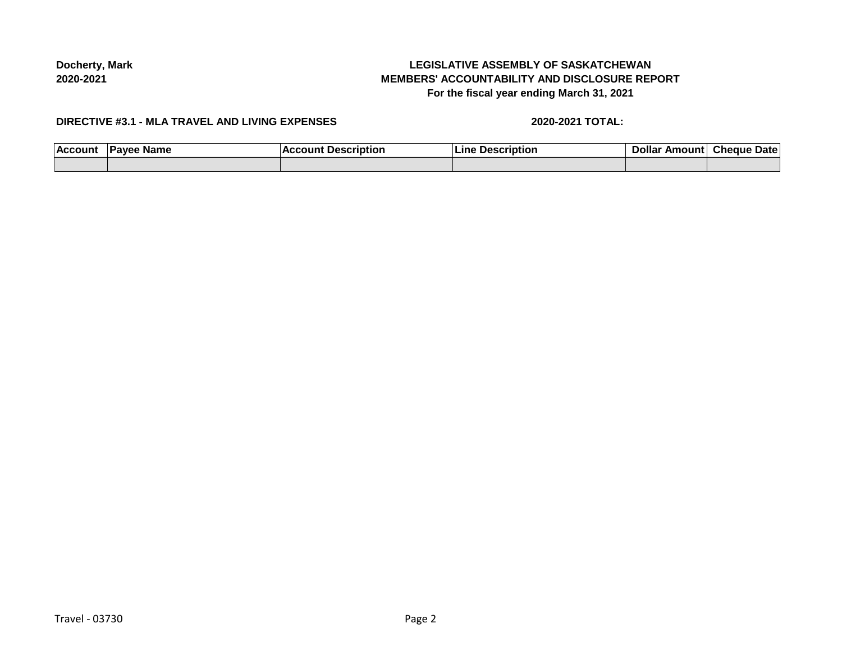# **LEGISLATIVE ASSEMBLY OF SASKATCHEWAN MEMBERS' ACCOUNTABILITY AND DISCLOSURE REPORT For the fiscal year ending March 31, 2021**

#### **DIRECTIVE #3.1 - MLA TRAVEL AND LIVING EXPENSES**

#### **2020-2021 TOTAL:**

| <b>ACCOUT</b> | <b>Name</b><br>w | <br>ıntıoı<br>Ш | unt<br>она<br>М<br>Amc | Date<br>Medur |
|---------------|------------------|-----------------|------------------------|---------------|
|               |                  |                 |                        |               |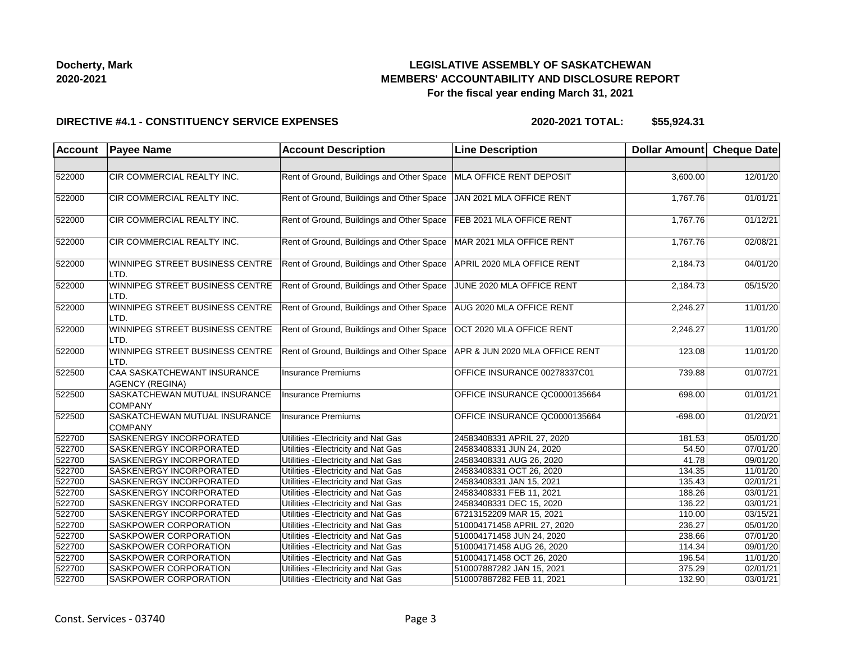## **LEGISLATIVE ASSEMBLY OF SASKATCHEWAN MEMBERS' ACCOUNTABILITY AND DISCLOSURE REPORT For the fiscal year ending March 31, 2021**

#### **DIRECTIVE #4.1 - CONSTITUENCY SERVICE EXPENSES**

| <b>Account</b> | <b>Payee Name</b>                                     | <b>Account Description</b>                                           | <b>Line Description</b>        | Dollar Amount Cheque Date |                       |
|----------------|-------------------------------------------------------|----------------------------------------------------------------------|--------------------------------|---------------------------|-----------------------|
|                |                                                       |                                                                      |                                |                           |                       |
| 522000         | CIR COMMERCIAL REALTY INC.                            | Rent of Ground, Buildings and Other Space                            | MLA OFFICE RENT DEPOSIT        | 3,600.00                  | 12/01/20              |
| 522000         | CIR COMMERCIAL REALTY INC.                            | Rent of Ground, Buildings and Other Space                            | JAN 2021 MLA OFFICE RENT       | 1,767.76                  | 01/01/21              |
| 522000         | CIR COMMERCIAL REALTY INC.                            | Rent of Ground, Buildings and Other Space                            | FEB 2021 MLA OFFICE RENT       | 1,767.76                  | 01/12/21              |
| 522000         | CIR COMMERCIAL REALTY INC.                            | Rent of Ground, Buildings and Other Space                            | MAR 2021 MLA OFFICE RENT       | 1,767.76                  | 02/08/21              |
| 522000         | WINNIPEG STREET BUSINESS CENTRE<br>LTD.               | Rent of Ground, Buildings and Other Space                            | APRIL 2020 MLA OFFICE RENT     | 2,184.73                  | 04/01/20              |
| 522000         | WINNIPEG STREET BUSINESS CENTRE<br>LTD.               | Rent of Ground, Buildings and Other Space                            | JUNE 2020 MLA OFFICE RENT      | 2,184.73                  | 05/15/20              |
| 522000         | WINNIPEG STREET BUSINESS CENTRE<br>LTD.               | Rent of Ground, Buildings and Other Space   AUG 2020 MLA OFFICE RENT |                                | 2,246.27                  | 11/01/20              |
| 522000         | WINNIPEG STREET BUSINESS CENTRE<br>LTD.               | Rent of Ground, Buildings and Other Space                            | OCT 2020 MLA OFFICE RENT       | 2,246.27                  | 11/01/20              |
| 522000         | WINNIPEG STREET BUSINESS CENTRE<br>LTD.               | Rent of Ground, Buildings and Other Space                            | APR & JUN 2020 MLA OFFICE RENT | 123.08                    | 11/01/20              |
| 522500         | CAA SASKATCHEWANT INSURANCE<br><b>AGENCY (REGINA)</b> | <b>Insurance Premiums</b>                                            | OFFICE INSURANCE 00278337C01   | 739.88                    | 01/07/21              |
| 522500         | SASKATCHEWAN MUTUAL INSURANCE<br>COMPANY              | Insurance Premiums                                                   | OFFICE INSURANCE QC0000135664  | 698.00                    | 01/01/21              |
| 522500         | SASKATCHEWAN MUTUAL INSURANCE<br><b>COMPANY</b>       | <b>Insurance Premiums</b>                                            | OFFICE INSURANCE QC0000135664  | $-698.00$                 | 01/20/21              |
| 522700         | SASKENERGY INCORPORATED                               | Utilities - Electricity and Nat Gas                                  | 24583408331 APRIL 27, 2020     | 181.53                    | 05/01/20              |
| 522700         | SASKENERGY INCORPORATED                               | Utilities - Electricity and Nat Gas                                  | 24583408331 JUN 24, 2020       | 54.50                     | 07/01/20              |
| 522700         | SASKENERGY INCORPORATED                               | Utilities - Electricity and Nat Gas                                  | 24583408331 AUG 26, 2020       | 41.78                     | 09/01/20              |
| 522700         | <b>SASKENERGY INCORPORATED</b>                        | Utilities - Electricity and Nat Gas                                  | 24583408331 OCT 26, 2020       | 134.35                    | 11/01/20              |
| 522700         | SASKENERGY INCORPORATED                               | Utilities - Electricity and Nat Gas                                  | 24583408331 JAN 15, 2021       | 135.43                    | $\overline{02/01/21}$ |
| 522700         | SASKENERGY INCORPORATED                               | Utilities - Electricity and Nat Gas                                  | 24583408331 FEB 11, 2021       | 188.26                    | 03/01/21              |
| 522700         | SASKENERGY INCORPORATED                               | Utilities - Electricity and Nat Gas                                  | 24583408331 DEC 15, 2020       | 136.22                    | 03/01/21              |
| 522700         | SASKENERGY INCORPORATED                               | Utilities - Electricity and Nat Gas                                  | 67213152209 MAR 15, 2021       | 110.00                    | 03/15/21              |
| 522700         | <b>SASKPOWER CORPORATION</b>                          | Utilities - Electricity and Nat Gas                                  | 510004171458 APRIL 27, 2020    | 236.27                    | 05/01/20              |
| 522700         | SASKPOWER CORPORATION                                 | Utilities - Electricity and Nat Gas                                  | 510004171458 JUN 24, 2020      | 238.66                    | 07/01/20              |
| 522700         | SASKPOWER CORPORATION                                 | Utilities - Electricity and Nat Gas                                  | 510004171458 AUG 26, 2020      | 114.34                    | 09/01/20              |
| 522700         | SASKPOWER CORPORATION                                 | Utilities - Electricity and Nat Gas                                  | 510004171458 OCT 26, 2020      | 196.54                    | 11/01/20              |
| 522700         | SASKPOWER CORPORATION                                 | Utilities - Electricity and Nat Gas                                  | 510007887282 JAN 15, 2021      | 375.29                    | 02/01/21              |
| 522700         | <b>SASKPOWER CORPORATION</b>                          | Utilities - Electricity and Nat Gas                                  | 510007887282 FEB 11, 2021      | 132.90                    | 03/01/21              |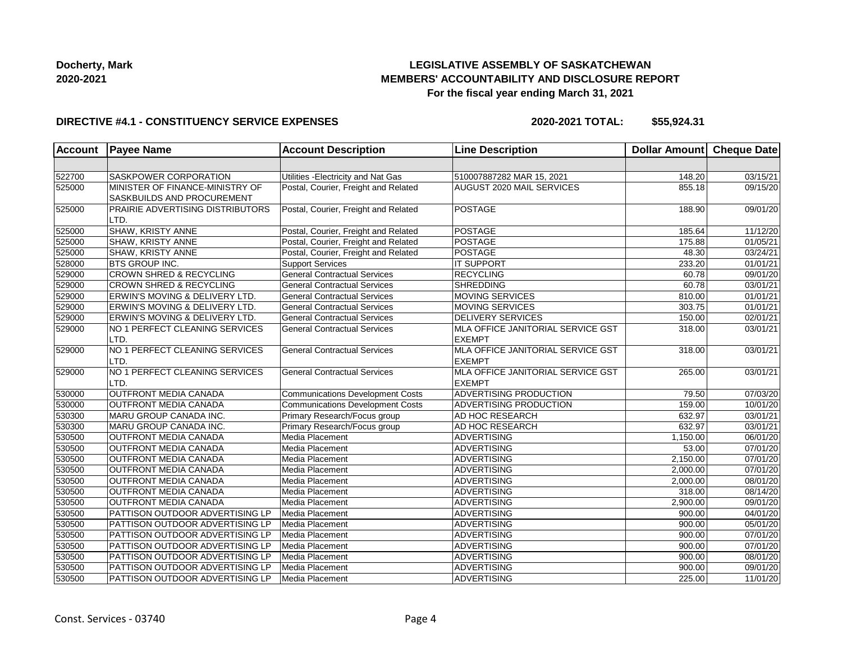## **LEGISLATIVE ASSEMBLY OF SASKATCHEWAN MEMBERS' ACCOUNTABILITY AND DISCLOSURE REPORT For the fiscal year ending March 31, 2021**

#### **DIRECTIVE #4.1 - CONSTITUENCY SERVICE EXPENSES**

| <b>Account</b> | <b>Payee Name</b>                                             | <b>Account Description</b>              | <b>Line Description</b>                            | <b>Dollar Amount</b> | Cheque Date           |
|----------------|---------------------------------------------------------------|-----------------------------------------|----------------------------------------------------|----------------------|-----------------------|
|                |                                                               |                                         |                                                    |                      |                       |
| 522700         | SASKPOWER CORPORATION                                         | Utilities - Electricity and Nat Gas     | 510007887282 MAR 15, 2021                          | 148.20               | 03/15/21              |
| 525000         | MINISTER OF FINANCE-MINISTRY OF<br>SASKBUILDS AND PROCUREMENT | Postal, Courier, Freight and Related    | AUGUST 2020 MAIL SERVICES                          | 855.18               | 09/15/20              |
| 525000         | PRAIRIE ADVERTISING DISTRIBUTORS<br>LTD.                      | Postal, Courier, Freight and Related    | POSTAGE                                            | 188.90               | 09/01/20              |
| 525000         | SHAW, KRISTY ANNE                                             | Postal, Courier, Freight and Related    | POSTAGE                                            | 185.64               | 11/12/20              |
| 525000         | SHAW, KRISTY ANNE                                             | Postal, Courier, Freight and Related    | <b>POSTAGE</b>                                     | 175.88               | 01/05/21              |
| 525000         | SHAW, KRISTY ANNE                                             | Postal, Courier, Freight and Related    | <b>POSTAGE</b>                                     | 48.30                | 03/24/21              |
| 528000         | <b>BTS GROUP INC.</b>                                         | <b>Support Services</b>                 | <b>IT SUPPORT</b>                                  | 233.20               | $\overline{01/0}1/21$ |
| 529000         | <b>CROWN SHRED &amp; RECYCLING</b>                            | <b>General Contractual Services</b>     | <b>RECYCLING</b>                                   | 60.78                | 09/01/20              |
| 529000         | CROWN SHRED & RECYCLING                                       | <b>General Contractual Services</b>     | <b>SHREDDING</b>                                   | 60.78                | 03/01/21              |
| 529000         | ERWIN'S MOVING & DELIVERY LTD.                                | <b>General Contractual Services</b>     | <b>MOVING SERVICES</b>                             | 810.00               | 01/01/21              |
| 529000         | ERWIN'S MOVING & DELIVERY LTD.                                | <b>General Contractual Services</b>     | MOVING SERVICES                                    | 303.75               | 01/01/21              |
| 529000         | ERWIN'S MOVING & DELIVERY LTD.                                | <b>General Contractual Services</b>     | <b>DELIVERY SERVICES</b>                           | 150.00               | 02/01/21              |
| 529000         | NO 1 PERFECT CLEANING SERVICES<br>LTD.                        | <b>General Contractual Services</b>     | MLA OFFICE JANITORIAL SERVICE GST<br><b>EXEMPT</b> | 318.00               | 03/01/21              |
| 529000         | NO 1 PERFECT CLEANING SERVICES<br>LTD.                        | <b>General Contractual Services</b>     | MLA OFFICE JANITORIAL SERVICE GST<br><b>EXEMPT</b> | 318.00               | 03/01/21              |
| 529000         | NO 1 PERFECT CLEANING SERVICES<br>LTD.                        | <b>General Contractual Services</b>     | MLA OFFICE JANITORIAL SERVICE GST<br><b>EXEMPT</b> | 265.00               | 03/01/21              |
| 530000         | <b>OUTFRONT MEDIA CANADA</b>                                  | <b>Communications Development Costs</b> | <b>ADVERTISING PRODUCTION</b>                      | 79.50                | 07/03/20              |
| 530000         | <b>OUTFRONT MEDIA CANADA</b>                                  | <b>Communications Development Costs</b> | ADVERTISING PRODUCTION                             | 159.00               | 10/01/20              |
| 530300         | MARU GROUP CANADA INC.                                        | Primary Research/Focus group            | AD HOC RESEARCH                                    | 632.97               | 03/01/21              |
| 530300         | MARU GROUP CANADA INC.                                        | Primary Research/Focus group            | AD HOC RESEARCH                                    | 632.97               | $\overline{03}/01/21$ |
| 530500         | <b>OUTFRONT MEDIA CANADA</b>                                  | Media Placement                         | <b>ADVERTISING</b>                                 | 1,150.00             | $\overline{06}/01/20$ |
| 530500         | <b>OUTFRONT MEDIA CANADA</b>                                  | Media Placement                         | <b>ADVERTISING</b>                                 | 53.00                | 07/01/20              |
| 530500         | <b>OUTFRONT MEDIA CANADA</b>                                  | Media Placement                         | <b>ADVERTISING</b>                                 | 2,150.00             | 07/01/20              |
| 530500         | <b>OUTFRONT MEDIA CANADA</b>                                  | Media Placement                         | <b>ADVERTISING</b>                                 | 2,000.00             | 07/01/20              |
| 530500         | <b>OUTFRONT MEDIA CANADA</b>                                  | Media Placement                         | <b>ADVERTISING</b>                                 | 2,000.00             | 08/01/20              |
| 530500         | <b>OUTFRONT MEDIA CANADA</b>                                  | Media Placement                         | <b>ADVERTISING</b>                                 | 318.00               | 08/14/20              |
| 530500         | <b>OUTFRONT MEDIA CANADA</b>                                  | Media Placement                         | <b>ADVERTISING</b>                                 | 2,900.00             | $\overline{09}/01/20$ |
| 530500         | PATTISON OUTDOOR ADVERTISING LP                               | Media Placement                         | <b>ADVERTISING</b>                                 | 900.00               | 04/01/20              |
| 530500         | PATTISON OUTDOOR ADVERTISING LP                               | Media Placement                         | ADVERTISING                                        | 900.00               | 05/01/20              |
| 530500         | PATTISON OUTDOOR ADVERTISING LP                               | Media Placement                         | <b>ADVERTISING</b>                                 | 900.00               | 07/01/20              |
| 530500         | PATTISON OUTDOOR ADVERTISING LP                               | Media Placement                         | <b>ADVERTISING</b>                                 | 900.00               | 07/01/20              |
| 530500         | PATTISON OUTDOOR ADVERTISING LP                               | Media Placement                         | <b>ADVERTISING</b>                                 | 900.00               | 08/01/20              |
| 530500         | PATTISON OUTDOOR ADVERTISING LP                               | Media Placement                         | <b>ADVERTISING</b>                                 | 900.00               | 09/01/20              |
| 530500         | PATTISON OUTDOOR ADVERTISING LP                               | Media Placement                         | <b>ADVERTISING</b>                                 | 225.00               | 11/01/20              |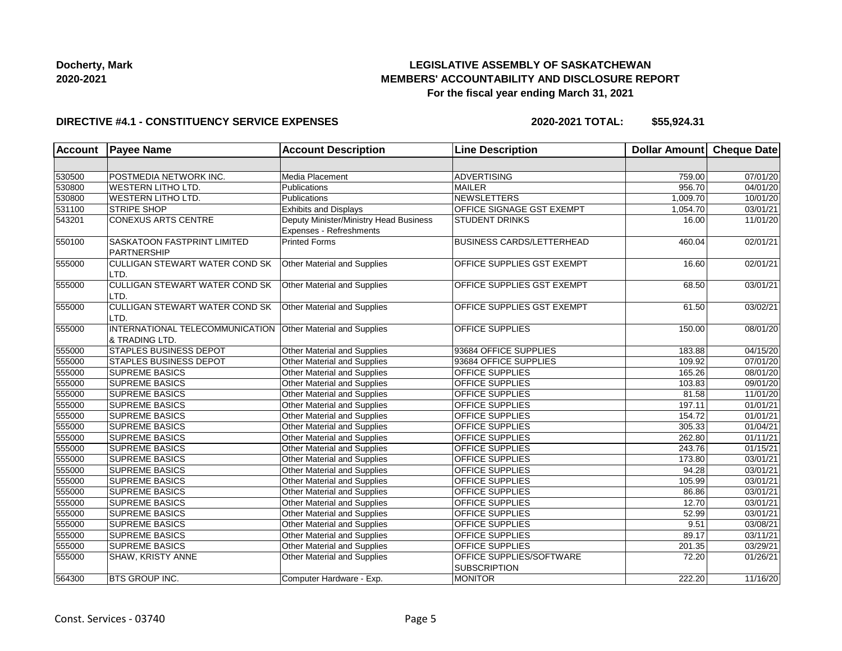## **LEGISLATIVE ASSEMBLY OF SASKATCHEWAN MEMBERS' ACCOUNTABILITY AND DISCLOSURE REPORT For the fiscal year ending March 31, 2021**

### **DIRECTIVE #4.1 - CONSTITUENCY SERVICE EXPENSES**

| <b>Account</b> | <b>Payee Name</b>                                  | <b>Account Description</b>                                        | <b>Line Description</b>                         | Dollar Amount Cheque Date |                       |
|----------------|----------------------------------------------------|-------------------------------------------------------------------|-------------------------------------------------|---------------------------|-----------------------|
|                |                                                    |                                                                   |                                                 |                           |                       |
| 530500         | POSTMEDIA NETWORK INC.                             | Media Placement                                                   | <b>ADVERTISING</b>                              | 759.00                    | 07/01/20              |
| 530800         | <b>WESTERN LITHO LTD.</b>                          | Publications                                                      | <b>MAILER</b>                                   | 956.70                    | 04/01/20              |
| 530800         | <b>WESTERN LITHO LTD.</b>                          | Publications                                                      | NEWSLETTERS                                     | 1,009.70                  | 10/01/20              |
| 531100         | <b>STRIPE SHOP</b>                                 | <b>Exhibits and Displays</b>                                      | <b>OFFICE SIGNAGE GST EXEMPT</b>                | 1,054.70                  | 03/01/21              |
| 543201         | <b>CONEXUS ARTS CENTRE</b>                         | Deputy Minister/Ministry Head Business<br>Expenses - Refreshments | <b>STUDENT DRINKS</b>                           | 16.00                     | 11/01/20              |
| 550100         | SASKATOON FASTPRINT LIMITED<br>PARTNERSHIP         | <b>Printed Forms</b>                                              | <b>BUSINESS CARDS/LETTERHEAD</b>                | 460.04                    | 02/01/21              |
| 555000         | <b>CULLIGAN STEWART WATER COND SK</b><br>LTD.      | Other Material and Supplies                                       | OFFICE SUPPLIES GST EXEMPT                      | 16.60                     | $\overline{02/01/21}$ |
| 555000         | <b>CULLIGAN STEWART WATER COND SK</b><br>LTD.      | Other Material and Supplies                                       | OFFICE SUPPLIES GST EXEMPT                      | 68.50                     | 03/01/21              |
| 555000         | <b>CULLIGAN STEWART WATER COND SK</b><br>LTD.      | Other Material and Supplies                                       | OFFICE SUPPLIES GST EXEMPT                      | 61.50                     | 03/02/21              |
| 555000         | INTERNATIONAL TELECOMMUNICATION<br>l& TRADING LTD. | Other Material and Supplies                                       | <b>OFFICE SUPPLIES</b>                          | 150.00                    | 08/01/20              |
| 555000         | STAPLES BUSINESS DEPOT                             | Other Material and Supplies                                       | 93684 OFFICE SUPPLIES                           | 183.88                    | 04/15/20              |
| 555000         | STAPLES BUSINESS DEPOT                             | Other Material and Supplies                                       | 93684 OFFICE SUPPLIES                           | 109.92                    | 07/01/20              |
| 555000         | <b>SUPREME BASICS</b>                              | Other Material and Supplies                                       | OFFICE SUPPLIES                                 | 165.26                    | 08/01/20              |
| 555000         | <b>SUPREME BASICS</b>                              | Other Material and Supplies                                       | OFFICE SUPPLIES                                 | 103.83                    | 09/01/20              |
| 555000         | <b>SUPREME BASICS</b>                              | Other Material and Supplies                                       | <b>OFFICE SUPPLIES</b>                          | 81.58                     | 11/01/20              |
| 555000         | <b>SUPREME BASICS</b>                              | Other Material and Supplies                                       | <b>OFFICE SUPPLIES</b>                          | 197.11                    | 01/01/21              |
| 555000         | <b>SUPREME BASICS</b>                              | Other Material and Supplies                                       | OFFICE SUPPLIES                                 | 154.72                    | 01/01/21              |
| 555000         | <b>SUPREME BASICS</b>                              | Other Material and Supplies                                       | OFFICE SUPPLIES                                 | 305.33                    | 01/04/21              |
| 555000         | <b>SUPREME BASICS</b>                              | Other Material and Supplies                                       | OFFICE SUPPLIES                                 | 262.80                    | 01/11/21              |
| 555000         | <b>SUPREME BASICS</b>                              | Other Material and Supplies                                       | OFFICE SUPPLIES                                 | 243.76                    | 01/15/21              |
| 555000         | <b>SUPREME BASICS</b>                              | Other Material and Supplies                                       | <b>OFFICE SUPPLIES</b>                          | 173.80                    | 03/01/21              |
| 555000         | <b>SUPREME BASICS</b>                              | Other Material and Supplies                                       | <b>OFFICE SUPPLIES</b>                          | 94.28                     | 03/01/21              |
| 555000         | <b>SUPREME BASICS</b>                              | Other Material and Supplies                                       | OFFICE SUPPLIES                                 | 105.99                    | 03/01/21              |
| 555000         | <b>SUPREME BASICS</b>                              | Other Material and Supplies                                       | OFFICE SUPPLIES                                 | 86.86                     | 03/01/21              |
| 555000         | <b>SUPREME BASICS</b>                              | Other Material and Supplies                                       | OFFICE SUPPLIES                                 | 12.70                     | 03/01/21              |
| 555000         | <b>SUPREME BASICS</b>                              | Other Material and Supplies                                       | <b>OFFICE SUPPLIES</b>                          | 52.99                     | 03/01/21              |
| 555000         | <b>SUPREME BASICS</b>                              | Other Material and Supplies                                       | OFFICE SUPPLIES                                 | 9.51                      | 03/08/21              |
| 555000         | <b>SUPREME BASICS</b>                              | Other Material and Supplies                                       | <b>OFFICE SUPPLIES</b>                          | 89.17                     | 03/11/21              |
| 555000         | <b>SUPREME BASICS</b>                              | Other Material and Supplies                                       | OFFICE SUPPLIES                                 | 201.35                    | $\overline{03/29/21}$ |
| 555000         | SHAW, KRISTY ANNE                                  | Other Material and Supplies                                       | OFFICE SUPPLIES/SOFTWARE<br><b>SUBSCRIPTION</b> | 72.20                     | 01/26/21              |
| 564300         | <b>BTS GROUP INC.</b>                              | Computer Hardware - Exp.                                          | <b>MONITOR</b>                                  | 222.20                    | 11/16/20              |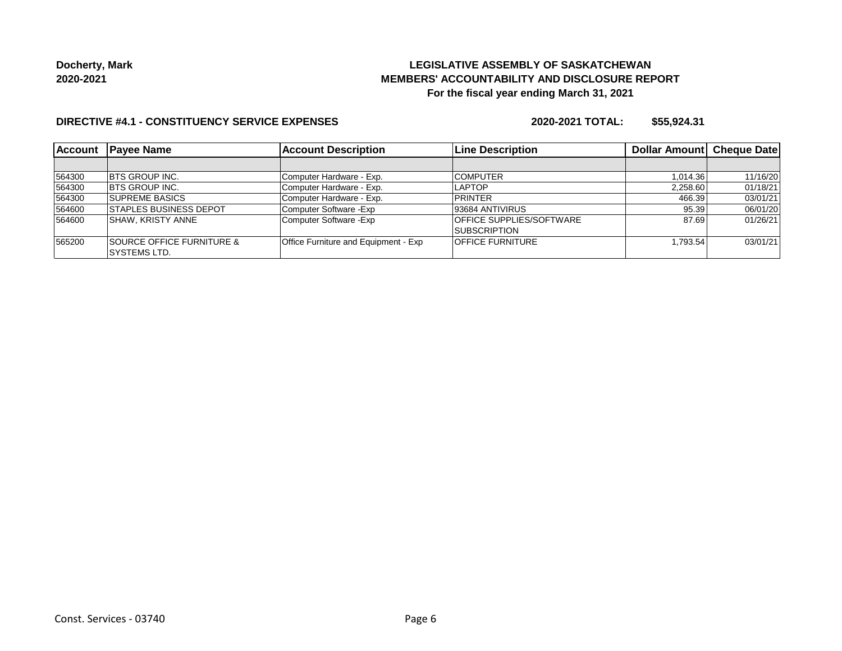## **LEGISLATIVE ASSEMBLY OF SASKATCHEWAN MEMBERS' ACCOUNTABILITY AND DISCLOSURE REPORT For the fiscal year ending March 31, 2021**

#### **DIRECTIVE #4.1 - CONSTITUENCY SERVICE EXPENSES**

| <b>Account</b> | <b>Payee Name</b>                    | <b>Account Description</b>                  | <b>Line Description</b>         | Dollar Amount | <b>Cheque Date</b> |
|----------------|--------------------------------------|---------------------------------------------|---------------------------------|---------------|--------------------|
|                |                                      |                                             |                                 |               |                    |
| 564300         | <b>IBTS GROUP INC.</b>               | Computer Hardware - Exp.                    | <b>COMPUTER</b>                 | 1.014.36      | 11/16/20           |
| 564300         | <b>IBTS GROUP INC.</b>               | Computer Hardware - Exp.                    | <b>LAPTOP</b>                   | 2,258.60      | 01/18/21           |
| 564300         | <b>SUPREME BASICS</b>                | Computer Hardware - Exp.                    | PRINTER                         | 466.39        | 03/01/21           |
| 564600         | <b>ISTAPLES BUSINESS DEPOT</b>       | Computer Software - Exp                     | 93684 ANTIVIRUS                 | 95.39         | 06/01/20           |
| 564600         | ISHAW. KRISTY ANNE                   | Computer Software - Exp                     | <b>OFFICE SUPPLIES/SOFTWARE</b> | 87.69         | 01/26/21           |
|                |                                      |                                             | <b>ISUBSCRIPTION</b>            |               |                    |
| 565200         | <b>SOURCE OFFICE FURNITURE &amp;</b> | <b>Office Furniture and Equipment - Exp</b> | <b>OFFICE FURNITURE</b>         | 1.793.54      | 03/01/21           |
|                | ISYSTEMS LTD.                        |                                             |                                 |               |                    |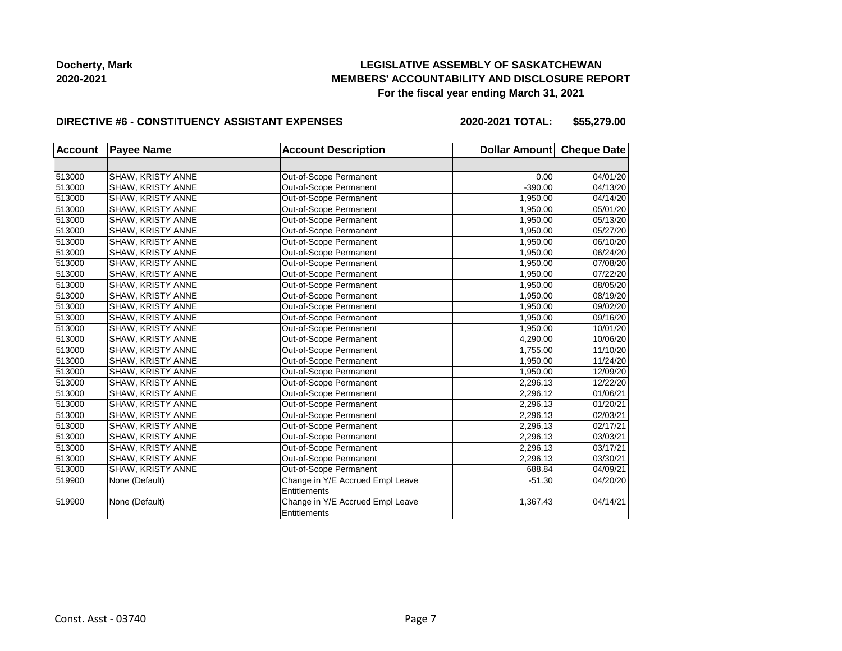## **LEGISLATIVE ASSEMBLY OF SASKATCHEWAN MEMBERS' ACCOUNTABILITY AND DISCLOSURE REPORT For the fiscal year ending March 31, 2021**

#### **DIRECTIVE #6 - CONSTITUENCY ASSISTANT EXPENSES**

| <b>Account</b> | <b>Payee Name</b>        | <b>Account Description</b>       | Dollar Amount Cheque Date |          |
|----------------|--------------------------|----------------------------------|---------------------------|----------|
|                |                          |                                  |                           |          |
| 513000         | SHAW, KRISTY ANNE        | Out-of-Scope Permanent           | 0.00                      | 04/01/20 |
| 513000         | SHAW, KRISTY ANNE        | Out-of-Scope Permanent           | $-390.00$                 | 04/13/20 |
| 513000         | SHAW, KRISTY ANNE        | Out-of-Scope Permanent           | 1.950.00                  | 04/14/20 |
| 513000         | SHAW, KRISTY ANNE        | Out-of-Scope Permanent           | 1,950.00                  | 05/01/20 |
| 513000         | SHAW, KRISTY ANNE        | Out-of-Scope Permanent           | 1,950.00                  | 05/13/20 |
| 513000         | SHAW, KRISTY ANNE        | Out-of-Scope Permanent           | 1,950.00                  | 05/27/20 |
| 513000         | SHAW, KRISTY ANNE        | Out-of-Scope Permanent           | 1,950.00                  | 06/10/20 |
| 513000         | SHAW, KRISTY ANNE        | Out-of-Scope Permanent           | 1,950.00                  | 06/24/20 |
| 513000         | SHAW, KRISTY ANNE        | Out-of-Scope Permanent           | 1,950.00                  | 07/08/20 |
| 513000         | <b>SHAW, KRISTY ANNE</b> | Out-of-Scope Permanent           | 1,950.00                  | 07/22/20 |
| 513000         | SHAW, KRISTY ANNE        | Out-of-Scope Permanent           | 1,950.00                  | 08/05/20 |
| 513000         | SHAW, KRISTY ANNE        | Out-of-Scope Permanent           | 1,950.00                  | 08/19/20 |
| 513000         | SHAW, KRISTY ANNE        | Out-of-Scope Permanent           | 1,950.00                  | 09/02/20 |
| 513000         | SHAW, KRISTY ANNE        | Out-of-Scope Permanent           | 1,950.00                  | 09/16/20 |
| 513000         | SHAW, KRISTY ANNE        | Out-of-Scope Permanent           | 1,950.00                  | 10/01/20 |
| 513000         | SHAW, KRISTY ANNE        | Out-of-Scope Permanent           | 4,290.00                  | 10/06/20 |
| 513000         | SHAW, KRISTY ANNE        | Out-of-Scope Permanent           | 1,755.00                  | 11/10/20 |
| 513000         | SHAW, KRISTY ANNE        | Out-of-Scope Permanent           | 1,950.00                  | 11/24/20 |
| 513000         | SHAW, KRISTY ANNE        | Out-of-Scope Permanent           | 1,950.00                  | 12/09/20 |
| 513000         | SHAW, KRISTY ANNE        | Out-of-Scope Permanent           | 2,296.13                  | 12/22/20 |
| 513000         | SHAW, KRISTY ANNE        | Out-of-Scope Permanent           | 2,296.12                  | 01/06/21 |
| 513000         | SHAW, KRISTY ANNE        | Out-of-Scope Permanent           | 2,296.13                  | 01/20/21 |
| 513000         | SHAW, KRISTY ANNE        | Out-of-Scope Permanent           | 2,296.13                  | 02/03/21 |
| 513000         | SHAW, KRISTY ANNE        | Out-of-Scope Permanent           | 2,296.13                  | 02/17/21 |
| 513000         | SHAW, KRISTY ANNE        | Out-of-Scope Permanent           | 2,296.13                  | 03/03/21 |
| 513000         | SHAW, KRISTY ANNE        | Out-of-Scope Permanent           | 2,296.13                  | 03/17/21 |
| 513000         | SHAW, KRISTY ANNE        | Out-of-Scope Permanent           | 2.296.13                  | 03/30/21 |
| 513000         | SHAW, KRISTY ANNE        | Out-of-Scope Permanent           | 688.84                    | 04/09/21 |
| 519900         | None (Default)           | Change in Y/E Accrued Empl Leave | $-51.30$                  | 04/20/20 |
|                |                          | Entitlements                     |                           |          |
| 519900         | None (Default)           | Change in Y/E Accrued Empl Leave | 1,367.43                  | 04/14/21 |
|                |                          | Entitlements                     |                           |          |